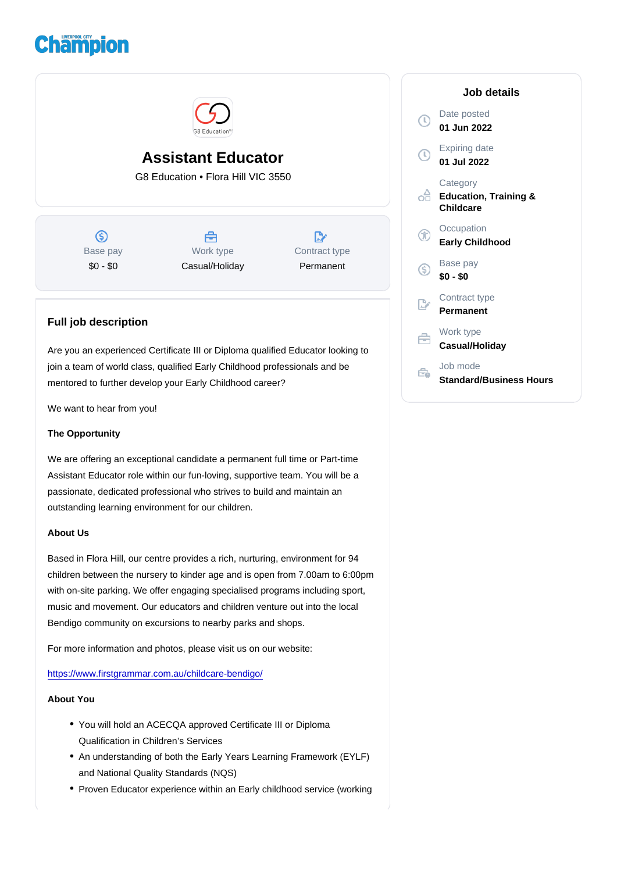# Assistant Educator

G8 Education • Flora Hill VIC 3550

Base pay \$0 - \$0

Work type Casual/Holiday Contract type Permanent

## Full job description

Are you an experienced Certificate III or Diploma qualified Educator looking to join a team of world class, qualified Early Childhood professionals and be mentored to further develop your Early Childhood career?

We want to hear from you!

## The Opportunity

We are offering an exceptional candidate a permanent full time or Part-time Assistant Educator role within our fun-loving, supportive team. You will be a passionate, dedicated professional who strives to build and maintain an outstanding learning environment for our children.

## About Us

Based in Flora Hill, our centre provides a rich, nurturing, environment for 94 children between the nursery to kinder age and is open from 7.00am to 6:00pm with on-site parking. We offer engaging specialised programs including sport, music and movement. Our educators and children venture out into the local Bendigo community on excursions to nearby parks and shops.

For more information and photos, please visit us on our website:

<https://www.firstgrammar.com.au/childcare-bendigo/>

#### About You

- You will hold an ACECQA approved Certificate III or Diploma Qualification in Children's Services
- An understanding of both the Early Years Learning Framework (EYLF) and National Quality Standards (NQS)
- Proven Educator experience within an Early childhood service (working

#### Job details

Date posted 01 Jun 2022

Expiring date 01 Jul 2022

**Category** Education, Training & **Childcare** 

**Occupation** Early Childhood

Base pay \$0 - \$0

Contract type Permanent

Work type Casual/Holiday

Job mode Standard/Business Hours